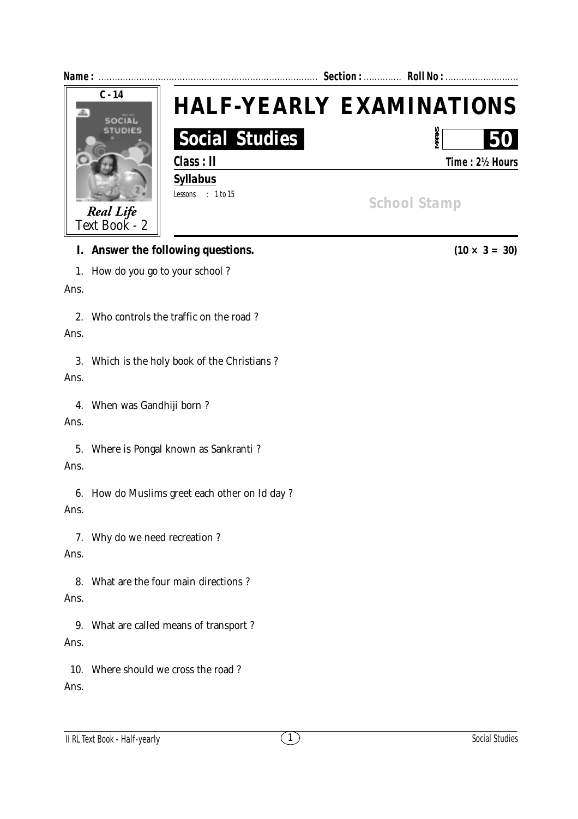| Name:                      |                       | Section:  Roll No :             |  |
|----------------------------|-----------------------|---------------------------------|--|
| $C - 14$<br>SOCIAL         |                       | <b>HALF-YEARLY EXAMINATIONS</b> |  |
| <b>STUDIES</b>             | <b>Social Studies</b> | <b>MARK:</b><br>50              |  |
|                            | Class: II             | Time: 2½ Hours                  |  |
|                            | <b>Syllabus</b>       |                                 |  |
|                            | Lessons : 1 to 15     | <b>School Stamp</b>             |  |
| Real Life<br>Text Book - 2 |                       |                                 |  |
|                            |                       |                                 |  |

## **I.** Answer the following questions.  $(10 \times 3 = 30)$

1. How do you go to your school ?

Ans.

2. Who controls the traffic on the road ?

## Ans.

3. Which is the holy book of the Christians ? Ans.

4. When was Gandhiji born ?

## Ans.

5. Where is Pongal known as Sankranti ?

## Ans.

6. How do Muslims greet each other on Id day ? Ans.

7. Why do we need recreation ?

Ans.

8. What are the four main directions ? Ans.

9. What are called means of transport ? Ans.

10. Where should we cross the road ? Ans.